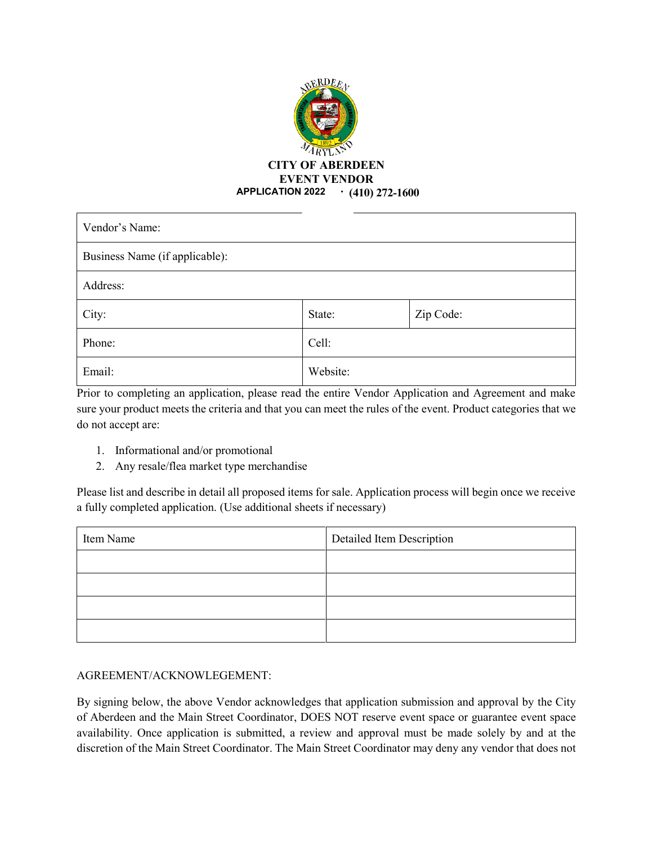

| Vendor's Name:                 |          |           |  |
|--------------------------------|----------|-----------|--|
| Business Name (if applicable): |          |           |  |
| Address:                       |          |           |  |
| City:                          | State:   | Zip Code: |  |
| Phone:                         | Cell:    |           |  |
| Email:                         | Website: |           |  |

Prior to completing an application, please read the entire Vendor Application and Agreement and make sure your product meets the criteria and that you can meet the rules of the event. Product categories that we do not accept are:

- 1. Informational and/or promotional
- 2. Any resale/flea market type merchandise

Please list and describe in detail all proposed items for sale. Application process will begin once we receive a fully completed application. (Use additional sheets if necessary)

| Item Name | Detailed Item Description |  |
|-----------|---------------------------|--|
|           |                           |  |
|           |                           |  |
|           |                           |  |
|           |                           |  |

#### AGREEMENT/ACKNOWLEGEMENT:

By signing below, the above Vendor acknowledges that application submission and approval by the City of Aberdeen and the Main Street Coordinator, DOES NOT reserve event space or guarantee event space availability. Once application is submitted, a review and approval must be made solely by and at the discretion of the Main Street Coordinator. The Main Street Coordinator may deny any vendor that does not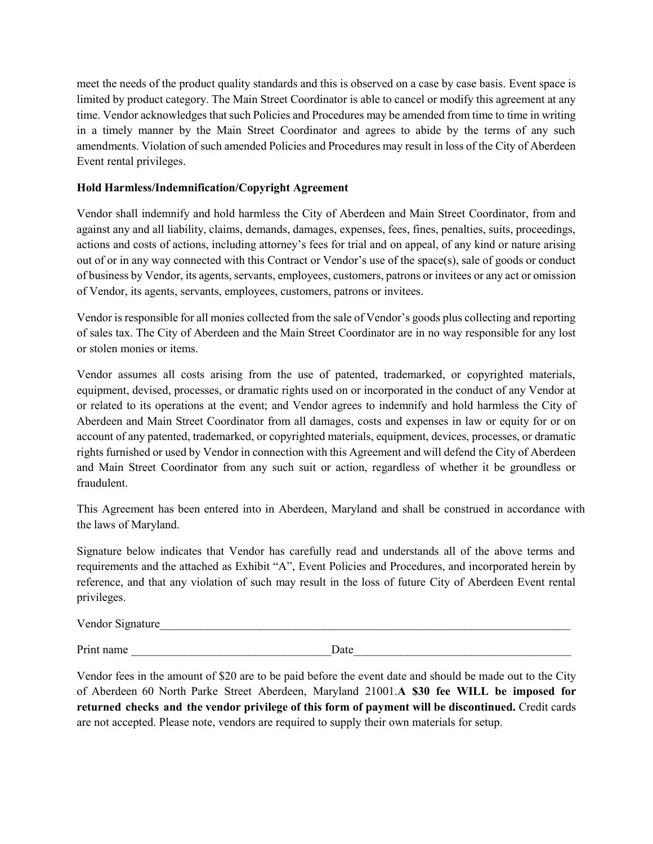meet the needs of the product quality standards and this is observed on a case by case basis. Event space is limited by product category. The Main Street Coordinator is able to cancel or modify this agreement at any time. Vendor acknowledges that such Policies and Procedures may be amended from time to time in writing in a timely manner by the Main Street Coordinator and agrees to abide by the terms of any such amendments. Violation of such amended Policies and Procedures may result in loss of the City of Aberdeen Event rental privileges.

## **Hold Harmless/Indemnification/Copyright Agreement**

Vendor shall indemnify and hold harmless the City of Aberdeen and Main Street Coordinator, from and against any and all liability, claims, demands, damages, expenses, fees, fines, penalties, suits, proceedings, actions and costs of actions, including attorney's fees for trial and on appeal, of any kind or nature arising out of or in any way connected with this Contract or Vendor's use of the space(s), sale of goods or conduct of business by Vendor, its agents, servants, employees, customers, patrons or invitees or any act or omission of Vendor, its agents, servants, employees, customers, patrons or invitees.

Vendor is responsible for all monies collected from the sale of Vendor's goods plus collecting and reporting of sales tax. The City of Aberdeen and the Main Street Coordinator are in no way responsible for any lost or stolen monies or items.

Vendor assumes all costs arising from the use of patented, trademarked, or copyrighted materials, equipment, devised, processes, or dramatic rights used on or incorporated in the conduct of any Vendor at or related to its operations at the event; and Vendor agrees to indemnify and hold harmless the City of Aberdeen and Main Street Coordinator from all damages, costs and expenses in law or equity for or on account of any patented, trademarked, or copyrighted materials, equipment, devices, processes, or dramatic rights furnished or used by Vendor in connection with this Agreement and will defend the City of Aberdeen and Main Street Coordinator from any such suit or action, regardless of whether it be groundless or fraudulent.

This Agreement has been entered into in Aberdeen, Maryland and shall be construed in accordance with the laws of Maryland.

Signature below indicates that Vendor has carefully read and understands all of the above terms and requirements and the attached as Exhibit "A", Event Policies and Procedures, and incorporated herein by reference, and that any violation of such may result in the loss of future City of Aberdeen Event rental privileges.

| Vendor Signature |
|------------------|
|------------------|

Print name \_\_\_\_\_\_\_\_\_\_\_\_\_\_\_\_\_\_\_\_\_\_\_\_\_\_\_\_\_\_\_\_\_\_Date\_\_\_\_\_\_\_\_\_\_\_\_\_\_\_\_\_\_\_\_\_\_\_\_\_\_\_\_\_\_\_\_\_\_\_\_\_

Vendor fees in the amount of \$20 are to be paid before the event date and should be made out to the City of Aberdeen 60 North Parke Street Aberdeen, Maryland 21001.**A \$30 fee WILL be imposed for returned checks and the vendor privilege of this form of payment will be discontinued.** Credit cards are not accepted. Please note, vendors are required to supply their own materials for setup.